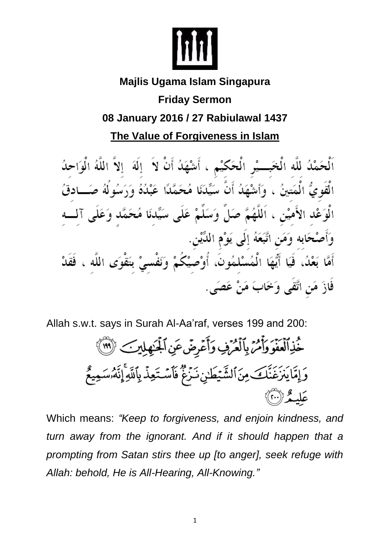

# **Majlis Ugama Islam Singapura**

## **Friday Sermon**

### **08 January 2016 / 27 Rabiulawal 1437**

**The Value of Forgiveness in Islam**

اَلْحَمْدُ للَّه الْخَبِـــيْرِ الْحَكَيْمِ ، أَشْهَدُ أَنْ لاَ ۚ إِلَهَ ۚ إِلاَّ اللَّهُ الْوَاحِدُ الْقَوِيُّ الْمَتينُ ، وَأَشْهَدُ أَنَّ سَيِّدَنَا مُحَمَّدًا عَبْدُهُ وَرَسُولُهُ صَـــادقُ الْوَعْدِ الأَمِيْنِ ، اَللَّهُمَّ صَلِّ وَسَلَّمْ عَلَى سَيِّدنَا مُحَمَّدٍ وَعَلَى آلِـــهِ وَأَصْحَابِه وَمَنِ اتَّبَعَهُ إِلَى يَوْمِ اللِّيْنِ. أَمَّا بَعْدُ، فَيَا أَيُّهَا الْمُسْلِمُونَ، أُوْصَيْكُمْ وَنَفْسِيْ بِتَقْوَى اللَّهِ ، فَقَدْ فَازَ مَن اتَّقَى وَخَابَ مَنْ عَصَى ِ

Allah s.w.t. says in Surah Al-Aa'raf, verses 199 and 200:

خُذِٱلۡعَفَوَوَأَمُنَ بِٱلۡعُرَٰفِ وَأَعۡرِضَ عَنِ ٱلۡجَـٰهِلِينَ ﴾ (٣١) وَإِمَّا يَنْزَغَنَّكَ مِنَ ٱلشَّيۡطَىٰنِ نَـزَعُ ۖ فَٱسۡتَعِذۡ بِٱللَّهِۚ إِنَّهُۥسَمِيعٌ عَلَىـمُّرْ(ْ''))

Which means: *"Keep to forgiveness, and enjoin kindness, and turn away from the ignorant. And if it should happen that a prompting from Satan stirs thee up [to anger], seek refuge with Allah: behold, He is All-Hearing, All-Knowing."*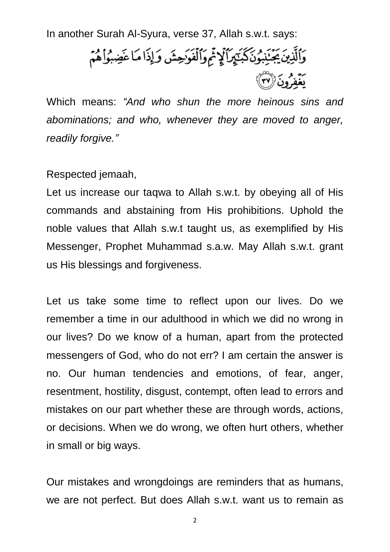In another Surah Al-Syura, verse 37, Allah s.w.t. says:

وَٱلَّذِينَ يَجۡنَذِوۡنَكَبَيۡمِرَٱلۡلَمۡمَ وَٱلۡفَوَحِشَ وَإِذَا مَا عَضِبُوۡاْهُمۡمَ يَعْمُدُونَ۞

Which means: *"And who shun the more heinous sins and abominations; and who, whenever they are moved to anger, readily forgive."*

Respected jemaah,

Let us increase our taqwa to Allah s.w.t. by obeying all of His commands and abstaining from His prohibitions. Uphold the noble values that Allah s.w.t taught us, as exemplified by His Messenger, Prophet Muhammad s.a.w. May Allah s.w.t. grant us His blessings and forgiveness.

Let us take some time to reflect upon our lives. Do we remember a time in our adulthood in which we did no wrong in our lives? Do we know of a human, apart from the protected messengers of God, who do not err? I am certain the answer is no. Our human tendencies and emotions, of fear, anger, resentment, hostility, disgust, contempt, often lead to errors and mistakes on our part whether these are through words, actions, or decisions. When we do wrong, we often hurt others, whether in small or big ways.

Our mistakes and wrongdoings are reminders that as humans, we are not perfect. But does Allah s.w.t. want us to remain as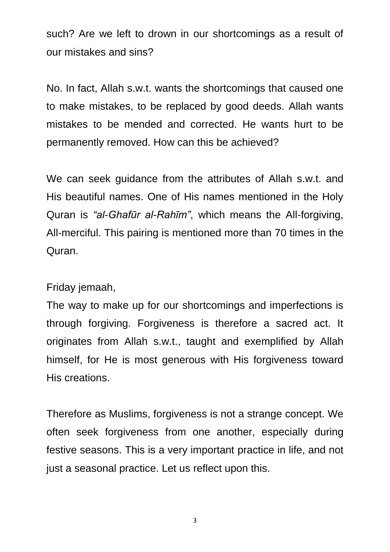such? Are we left to drown in our shortcomings as a result of our mistakes and sins?

No. In fact, Allah s.w.t. wants the shortcomings that caused one to make mistakes, to be replaced by good deeds. Allah wants mistakes to be mended and corrected. He wants hurt to be permanently removed. How can this be achieved?

We can seek guidance from the attributes of Allah s.w.t. and His beautiful names. One of His names mentioned in the Holy Quran is *"al-Ghafūr al-Rahīm"*, which means the All-forgiving, All-merciful. This pairing is mentioned more than 70 times in the Quran.

#### Friday jemaah,

The way to make up for our shortcomings and imperfections is through forgiving. Forgiveness is therefore a sacred act. It originates from Allah s.w.t., taught and exemplified by Allah himself, for He is most generous with His forgiveness toward His creations.

Therefore as Muslims, forgiveness is not a strange concept. We often seek forgiveness from one another, especially during festive seasons. This is a very important practice in life, and not just a seasonal practice. Let us reflect upon this.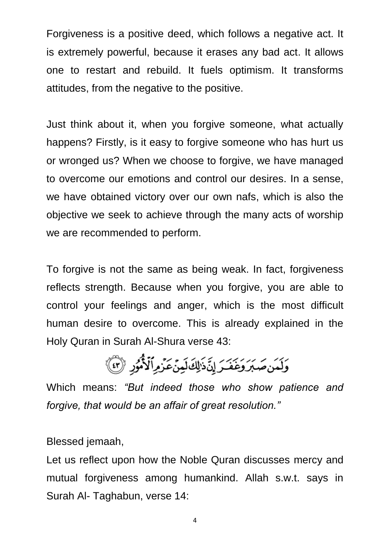Forgiveness is a positive deed, which follows a negative act. It is extremely powerful, because it erases any bad act. It allows one to restart and rebuild. It fuels optimism. It transforms attitudes, from the negative to the positive.

Just think about it, when you forgive someone, what actually happens? Firstly, is it easy to forgive someone who has hurt us or wronged us? When we choose to forgive, we have managed to overcome our emotions and control our desires. In a sense, we have obtained victory over our own nafs, which is also the objective we seek to achieve through the many acts of worship we are recommended to perform.

To forgive is not the same as being weak. In fact, forgiveness reflects strength. Because when you forgive, you are able to control your feelings and anger, which is the most difficult human desire to overcome. This is already explained in the Holy Quran in Surah Al-Shura verse 43:

وَلَمَن صَبَرَ وَغَفَرَ إِنَّ ذَلِكَ لَمِنَ عَزْمِ ٱلْأُمُورِ (٣)

Which means: *"But indeed those who show patience and forgive, that would be an affair of great resolution."*

Blessed jemaah,

Let us reflect upon how the Noble Quran discusses mercy and mutual forgiveness among humankind. Allah s.w.t. says in Surah Al- Taghabun, verse 14: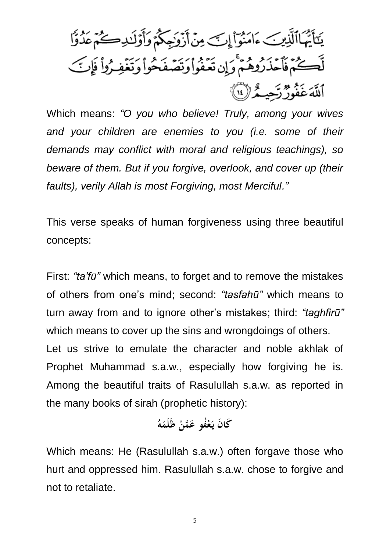يَتَأَيُّهَاٱلَّذِينَ ءَامَنُوٓاْ إِنِّ مِنۡ أَزۡوَٰجِكُمۡ وَأَوۡلَـٰدِكُمۡ مَدُوًّا لَّكُمْ فَأَحْذَرُوهُمْ وَإِن تَعْفُواْ وَتَصَفَحُواْ وَتَغْفِرُواْ فَإِنَّ ٱللَّهَ عَفُورٌ رَّحِيهُ ﴿ إِنَّا ﴾

Which means: *"O you who believe! Truly, among your wives and your children are enemies to you (i.e. some of their demands may conflict with moral and religious teachings), so beware of them. But if you forgive, overlook, and cover up (their faults), verily Allah is most Forgiving, most Merciful."*

This verse speaks of human forgiveness using three beautiful concepts:

First: *"ta'fū"* which means, to forget and to remove the mistakes of others from one's mind; second: *"tasfahū"* which means to turn away from and to ignore other's mistakes; third: *"taghfirū"* which means to cover up the sins and wrongdoings of others. Let us strive to emulate the character and noble akhlak of Prophet Muhammad s.a.w., especially how forgiving he is. Among the beautiful traits of Rasulullah s.a.w. as reported in the many books of sirah (prophetic history):

#### كَانَ يَعْفُو عَمَّنْ ظَلَمَهُ

Which means: He (Rasulullah s.a.w.) often forgave those who hurt and oppressed him. Rasulullah s.a.w. chose to forgive and not to retaliate.